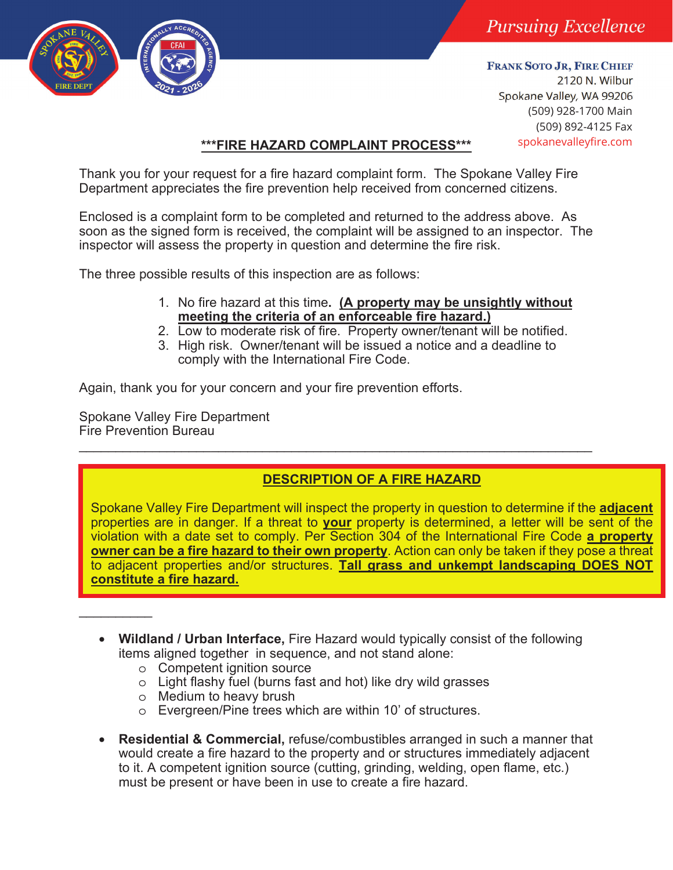

**FRANK SOTO JR, FIRE CHIEF** 2120 N. Wilbur Spokane Valley, WA 99206 (509) 928-1700 Main (509) 892-4125 Fax

# spokanevalleyfire.com **\*\*\*FIRE HAZARD COMPLAINT PROCESS\*\*\***

Thank you for your request for a fire hazard complaint form. The Spokane Valley Fire Department appreciates the fire prevention help received from concerned citizens.

Enclosed is a complaint form to be completed and returned to the address above. As soon as the signed form is received, the complaint will be assigned to an inspector. The inspector will assess the property in question and determine the fire risk.

The three possible results of this inspection are as follows:

- 1. No fire hazard at this time**. (A property may be unsightly without meeting the criteria of an enforceable fire hazard.)**
- 2. Low to moderate risk of fire. Property owner/tenant will be notified.
- 3. High risk. Owner/tenant will be issued a notice and a deadline to comply with the International Fire Code.

Again, thank you for your concern and your fire prevention efforts.

Spokane Valley Fire Department Fire Prevention Bureau  $\mathcal{L}_\text{max}$  and  $\mathcal{L}_\text{max}$  and  $\mathcal{L}_\text{max}$  and  $\mathcal{L}_\text{max}$  and  $\mathcal{L}_\text{max}$  and  $\mathcal{L}_\text{max}$ 

 $\frac{1}{2}$ 

# **DESCRIPTION OF A FIRE HAZARD**

Spokane Valley Fire Department will inspect the property in question to determine if the **adjacent** properties are in danger. If a threat to **your** property is determined, a letter will be sent of the violation with a date set to comply. Per Section 304 of the International Fire Code **a property owner can be a fire hazard to their own property**. Action can only be taken if they pose a threat to adjacent properties and/or structures. **Tall grass and unkempt landscaping DOES NOT constitute a fire hazard.** 

- **Wildland / Urban Interface,** Fire Hazard would typically consist of the following items aligned together in sequence, and not stand alone:
	- o Competent ignition source
	- o Light flashy fuel (burns fast and hot) like dry wild grasses
	- o Medium to heavy brush
	- o Evergreen/Pine trees which are within 10' of structures.
- **Residential & Commercial,** refuse/combustibles arranged in such a manner that would create a fire hazard to the property and or structures immediately adjacent to it. A competent ignition source (cutting, grinding, welding, open flame, etc.) must be present or have been in use to create a fire hazard.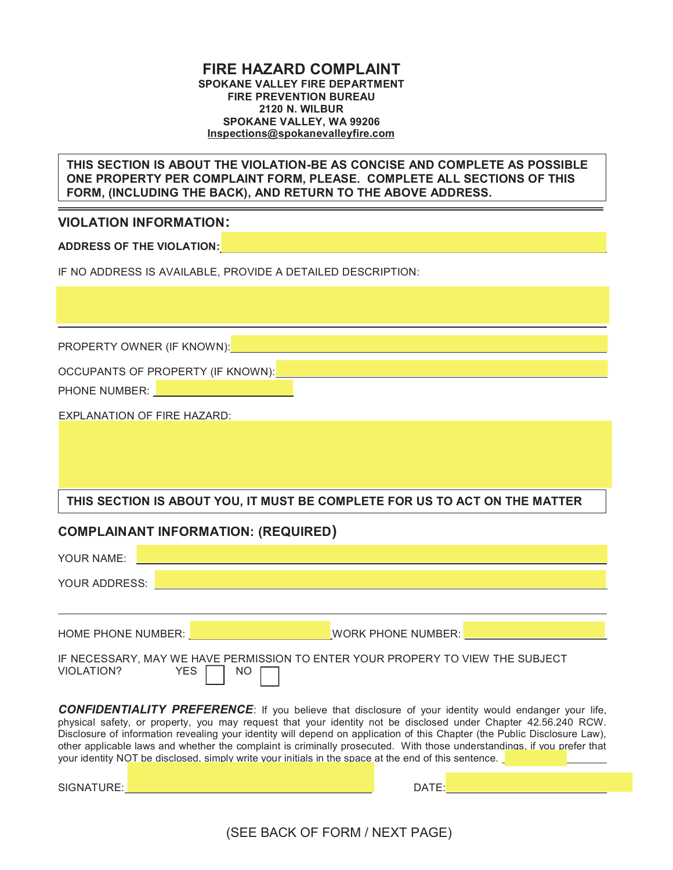#### FIRE HAZARD COMPLAINT SPOKANE VALLEY FIRE DEPARTMENT FIRE PREVENTION BUREAU 2120 N. WILBUR SPOKANE VALLEY, WA 99206 Inspections@spokanevalleyfire.com

THIS SECTION IS ABOUT THE VIOLATION-BE AS CONCISE AND COMPLETE AS POSSIBLE ONE PROPERTY PER COMPLAINT FORM, PLEASE. COMPLETE ALL SECTIONS OF THIS FORM, (INCLUDING THE BACK), AND RETURN TO THE ABOVE ADDRESS.

#### VIOLATION INFORMATION:

ADDRESS OF THE VIOLATION:

IF NO ADDRESS IS AVAILABLE, PROVIDE A DETAILED DESCRIPTION:

PROPERTY OWNER (IF KNOWN):

OCCUPANTS OF PROPERTY (IF KNOWN):

PHONE NUMBER: **NAME IN THE STATE** 

EXPLANATION OF FIRE HAZARD:

### THIS SECTION IS ABOUT YOU, IT MUST BE COMPLETE FOR US TO ACT ON THE MATTER

### COMPLAINANT INFORMATION: (REQUIRED)

| YOUR NAME:                                                                                                                                                                                                                                                                                                                                                                                                                                                                                                                                                                                     |                    |  |  |  |  |  |  |
|------------------------------------------------------------------------------------------------------------------------------------------------------------------------------------------------------------------------------------------------------------------------------------------------------------------------------------------------------------------------------------------------------------------------------------------------------------------------------------------------------------------------------------------------------------------------------------------------|--------------------|--|--|--|--|--|--|
| YOUR ADDRESS:                                                                                                                                                                                                                                                                                                                                                                                                                                                                                                                                                                                  |                    |  |  |  |  |  |  |
|                                                                                                                                                                                                                                                                                                                                                                                                                                                                                                                                                                                                |                    |  |  |  |  |  |  |
| <b>HOME PHONE NUMBER: EXAMPLE AND THE STATE OF STATE AND THE STATE OF STATE OF STATE OF STATE OF STATE OF STATE OF STATE OF STATE OF STATE OF STATE OF STATE OF STATE OF STATE OF STATE OF STATE OF STATE OF STATE OF STATE OF</b>                                                                                                                                                                                                                                                                                                                                                             | WORK PHONE NUMBER: |  |  |  |  |  |  |
| IF NECESSARY, MAY WE HAVE PERMISSION TO ENTER YOUR PROPERY TO VIEW THE SUBJECT<br><b>VIOLATION?</b><br>YES<br>NO.                                                                                                                                                                                                                                                                                                                                                                                                                                                                              |                    |  |  |  |  |  |  |
| <b>CONFIDENTIALITY PREFERENCE:</b> If you believe that disclosure of your identity would endanger your life,<br>physical safety, or property, you may request that your identity not be disclosed under Chapter 42.56.240 RCW.<br>Disclosure of information revealing your identity will depend on application of this Chapter (the Public Disclosure Law),<br>other applicable laws and whether the complaint is criminally prosecuted. With those understandings, if you prefer that<br>your identity NOT be disclosed, simply write your initials in the space at the end of this sentence. |                    |  |  |  |  |  |  |
| SIGNATURE:                                                                                                                                                                                                                                                                                                                                                                                                                                                                                                                                                                                     | DATE: <b>DATE:</b> |  |  |  |  |  |  |

(SEE BACK OF FORM / NEXT PAGE)